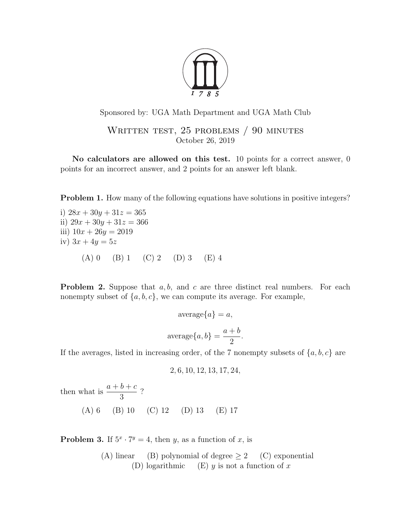

Sponsored by: UGA Math Department and UGA Math Club

WRITTEN TEST, 25 PROBLEMS / 90 MINUTES October 26, 2019

No calculators are allowed on this test. 10 points for a correct answer, 0 points for an incorrect answer, and 2 points for an answer left blank.

**Problem 1.** How many of the following equations have solutions in positive integers?

i)  $28x + 30y + 31z = 365$ ii)  $29x + 30y + 31z = 366$ iii)  $10x + 26y = 2019$ iv)  $3x + 4y = 5z$  $(A) 0 \t(B) 1 \t(C) 2 \t(D) 3 \t(E) 4$ 

**Problem 2.** Suppose that  $a, b$ , and  $c$  are three distinct real numbers. For each nonempty subset of  $\{a, b, c\}$ , we can compute its average. For example,

$$
\text{average}\{a\} = a,
$$
\n
$$
\text{average}\{a, b\} = \frac{a+b}{2}.
$$

If the averages, listed in increasing order, of the 7 nonempty subsets of  $\{a, b, c\}$  are

$$
2, 6, 10, 12, 13, 17, 24,
$$

then what is  $\frac{a+b+c}{2}$ 3 ?

(A) 6 (B) 10 (C) 12 (D) 13 (E) 17

**Problem 3.** If  $5^x \cdot 7^y = 4$ , then y, as a function of x, is

(A) linear (B) polynomial of degree  $\geq 2$  (C) exponential (D) logarithmic (E) y is not a function of x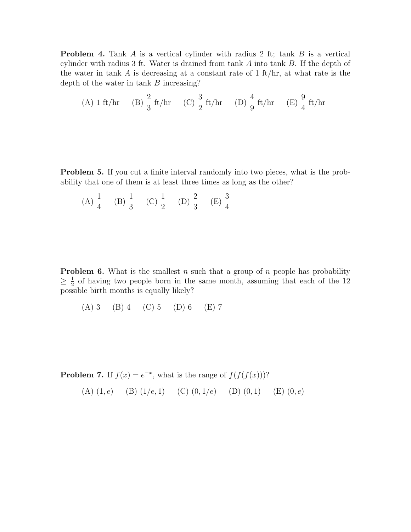**Problem 4.** Tank A is a vertical cylinder with radius 2 ft; tank  $B$  is a vertical cylinder with radius 3 ft. Water is drained from tank A into tank B. If the depth of the water in tank  $A$  is decreasing at a constant rate of 1 ft/hr, at what rate is the depth of the water in tank B increasing?

(A) 1 ft/hr (B) 
$$
\frac{2}{3}
$$
 ft/hr (C)  $\frac{3}{2}$  ft/hr (D)  $\frac{4}{9}$  ft/hr (E)  $\frac{9}{4}$  ft/hr

**Problem 5.** If you cut a finite interval randomly into two pieces, what is the probability that one of them is at least three times as long as the other?

(A) 
$$
\frac{1}{4}
$$
 (B)  $\frac{1}{3}$  (C)  $\frac{1}{2}$  (D)  $\frac{2}{3}$  (E)  $\frac{3}{4}$ 

**Problem 6.** What is the smallest n such that a group of n people has probability  $\geq \frac{1}{2}$  $\frac{1}{2}$  of having two people born in the same month, assuming that each of the 12 possible birth months is equally likely?

(A) 3 (B) 4 (C) 5 (D) 6 (E) 7

**Problem 7.** If  $f(x) = e^{-x}$ , what is the range of  $f(f(f(x)))$ ?

(A)  $(1, e)$  (B)  $(1/e, 1)$  (C)  $(0, 1/e)$  (D)  $(0, 1)$  (E)  $(0, e)$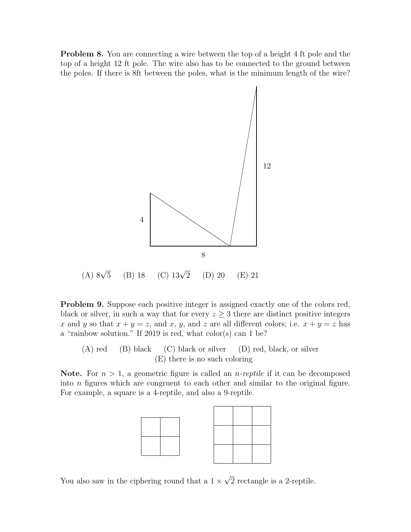**Problem 8.** You are connecting a wire between the top of a height 4 ft pole and the top of a height 12 ft pole. The wire also has to be connected to the ground between the poles. If there is 8ft between the poles, what is the minimum length of the wire?



Problem 9. Suppose each positive integer is assigned exactly one of the colors red, black or silver, in such a way that for every  $z \geq 3$  there are distinct positive integers x and y so that  $x + y = z$ , and x, y, and z are all different colors; i.e.  $x + y = z$  has a "rainbow solution." If 2019 is red, what color(s) can 1 be?

(A) red (B) black (C) black or silver (D) red, black, or silver (E) there is no such coloring

**Note.** For  $n > 1$ , a geometric figure is called an *n*-reptile if it can be decomposed into n figures which are congruent to each other and similar to the original figure. For example, a square is a 4-reptile, and also a 9-reptile.



You also saw in the ciphering round that a  $1 \times$ √ 2 rectangle is a 2-reptile.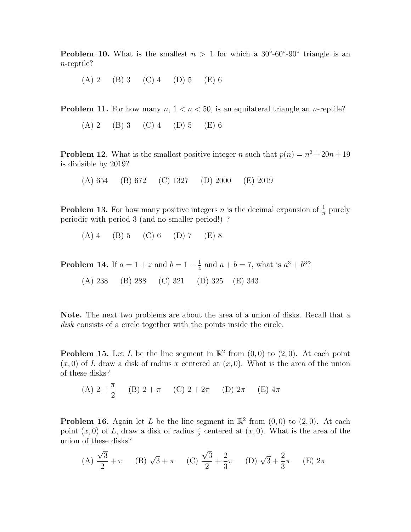**Problem 10.** What is the smallest  $n > 1$  for which a 30°-60°-90° triangle is an n-reptile?

(A) 2 (B) 3 (C) 4 (D) 5 (E) 6

**Problem 11.** For how many  $n, 1 \lt n \lt 50$ , is an equilateral triangle an *n*-reptile?

(A) 2 (B) 3 (C) 4 (D) 5 (E) 6

**Problem 12.** What is the smallest positive integer n such that  $p(n) = n^2 + 20n + 19$ is divisible by 2019?

(A) 654 (B) 672 (C) 1327 (D) 2000 (E) 2019

**Problem 13.** For how many positive integers *n* is the decimal expansion of  $\frac{1}{n}$  purely periodic with period 3 (and no smaller period!) ?

 $(A)$  4 (B) 5 (C) 6 (D) 7 (E) 8

**Problem 14.** If  $a = 1 + z$  and  $b = 1 - \frac{1}{z}$  $\frac{1}{z}$  and  $a + b = 7$ , what is  $a^3 + b^3$ ? (A) 238 (B) 288 (C) 321 (D) 325 (E) 343

Note. The next two problems are about the area of a union of disks. Recall that a disk consists of a circle together with the points inside the circle.

**Problem 15.** Let L be the line segment in  $\mathbb{R}^2$  from  $(0,0)$  to  $(2,0)$ . At each point  $(x, 0)$  of L draw a disk of radius x centered at  $(x, 0)$ . What is the area of the union of these disks?

(A) 
$$
2 + \frac{\pi}{2}
$$
 (B)  $2 + \pi$  (C)  $2 + 2\pi$  (D)  $2\pi$  (E)  $4\pi$ 

**Problem 16.** Again let L be the line segment in  $\mathbb{R}^2$  from  $(0,0)$  to  $(2,0)$ . At each point  $(x, 0)$  of L, draw a disk of radius  $\frac{x}{2}$  centered at  $(x, 0)$ . What is the area of the union of these disks?

(A) 
$$
\frac{\sqrt{3}}{2} + \pi
$$
 (B)  $\sqrt{3} + \pi$  (C)  $\frac{\sqrt{3}}{2} + \frac{2}{3}\pi$  (D)  $\sqrt{3} + \frac{2}{3}\pi$  (E)  $2\pi$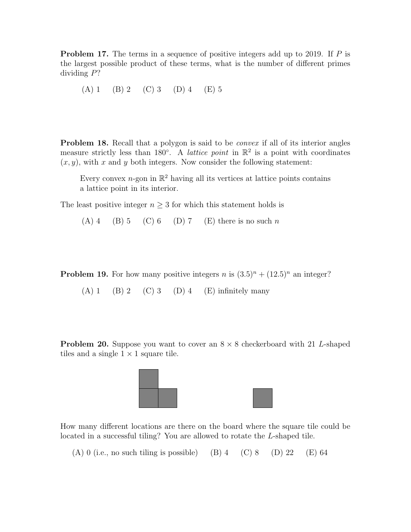**Problem 17.** The terms in a sequence of positive integers add up to 2019. If  $P$  is the largest possible product of these terms, what is the number of different primes dividing P?

(A) 1 (B) 2 (C) 3 (D) 4 (E) 5

**Problem 18.** Recall that a polygon is said to be *convex* if all of its interior angles measure strictly less than 180<sup>°</sup>. A *lattice point* in  $\mathbb{R}^2$  is a point with coordinates  $(x, y)$ , with x and y both integers. Now consider the following statement:

Every convex *n*-gon in  $\mathbb{R}^2$  having all its vertices at lattice points contains a lattice point in its interior.

The least positive integer  $n \geq 3$  for which this statement holds is

 $(A)$  4 (B) 5 (C) 6 (D) 7 (E) there is no such n

**Problem 19.** For how many positive integers n is  $(3.5)^n + (12.5)^n$  an integer?

(A) 1 (B) 2 (C) 3 (D) 4 (E) infinitely many

**Problem 20.** Suppose you want to cover an  $8 \times 8$  checkerboard with 21 L-shaped tiles and a single  $1 \times 1$  square tile.





How many different locations are there on the board where the square tile could be located in a successful tiling? You are allowed to rotate the L-shaped tile.

(A) 0 (i.e., no such tiling is possible) (B) 4 (C) 8 (D) 22 (E) 64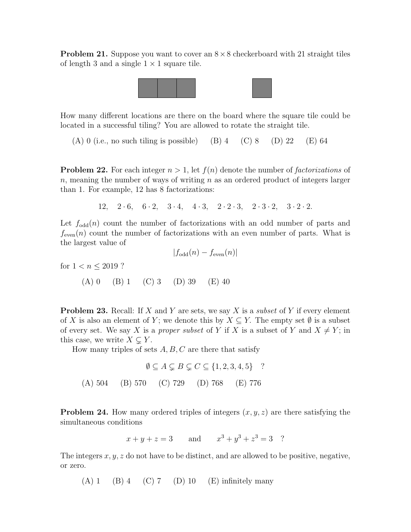**Problem 21.** Suppose you want to cover an  $8 \times 8$  checkerboard with 21 straight tiles of length 3 and a single  $1 \times 1$  square tile.



How many different locations are there on the board where the square tile could be located in a successful tiling? You are allowed to rotate the straight tile.

(A) 0 (i.e., no such tiling is possible) (B) 4 (C) 8 (D) 22 (E) 64

**Problem 22.** For each integer  $n > 1$ , let  $f(n)$  denote the number of *factorizations* of n, meaning the number of ways of writing  $n$  as an ordered product of integers larger than 1. For example, 12 has 8 factorizations:

12,  $2 \cdot 6$ ,  $6 \cdot 2$ ,  $3 \cdot 4$ ,  $4 \cdot 3$ ,  $2 \cdot 2 \cdot 3$ ,  $2 \cdot 3 \cdot 2$ ,  $3 \cdot 2 \cdot 2$ .

Let  $f_{odd}(n)$  count the number of factorizations with an odd number of parts and  $f_{\text{even}}(n)$  count the number of factorizations with an even number of parts. What is the largest value of

 $|f_{\text{odd}}(n) - f_{\text{even}}(n)|$ 

for 
$$
1 < n \le 2019
$$
 ?  
\n(A) 0 (B) 1 (C) 3 (D) 39 (E) 40

**Problem 23.** Recall: If X and Y are sets, we say X is a *subset* of Y if every element of X is also an element of Y; we denote this by  $X \subseteq Y$ . The empty set  $\emptyset$  is a subset of every set. We say X is a proper subset of Y if X is a subset of Y and  $X \neq Y$ ; in this case, we write  $X \subsetneq Y$ .

How many triples of sets  $A, B, C$  are there that satisfy

$$
\emptyset \subseteq A \subsetneq B \subsetneq C \subseteq \{1, 2, 3, 4, 5\} \quad ?
$$
  
(A) 504 (B) 570 (C) 729 (D) 768 (E) 776

**Problem 24.** How many ordered triples of integers  $(x, y, z)$  are there satisfying the simultaneous conditions

$$
x + y + z = 3
$$
 and  $x^3 + y^3 + z^3 = 3$ ?

The integers  $x, y, z$  do not have to be distinct, and are allowed to be positive, negative, or zero.

 $(A) 1 \t(B) 4 \t(C) 7 \t(D) 10 \t(E)$  infinitely many